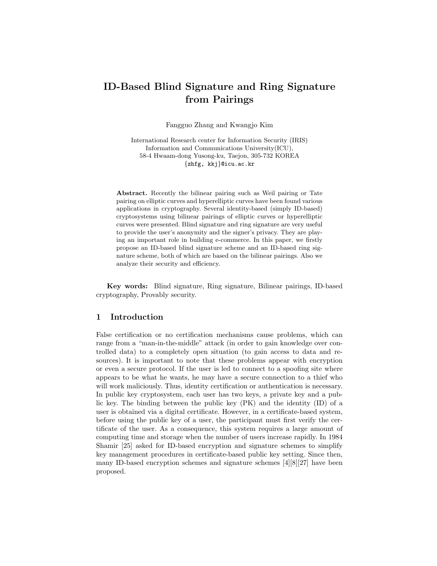# ID-Based Blind Signature and Ring Signature from Pairings

Fangguo Zhang and Kwangjo Kim

International Research center for Information Security (IRIS) Information and Communications University(ICU), 58-4 Hwaam-dong Yusong-ku, Taejon, 305-732 KOREA {zhfg, kkj}@icu.ac.kr

Abstract. Recently the bilinear pairing such as Weil pairing or Tate pairing on elliptic curves and hyperelliptic curves have been found various applications in cryptography. Several identity-based (simply ID-based) cryptosystems using bilinear pairings of elliptic curves or hyperelliptic curves were presented. Blind signature and ring signature are very useful to provide the user's anonymity and the signer's privacy. They are playing an important role in building e-commerce. In this paper, we firstly propose an ID-based blind signature scheme and an ID-based ring signature scheme, both of which are based on the bilinear pairings. Also we analyze their security and efficiency.

Key words: Blind signature, Ring signature, Bilinear pairings, ID-based cryptography, Provably security.

# 1 Introduction

False certification or no certification mechanisms cause problems, which can range from a "man-in-the-middle" attack (in order to gain knowledge over controlled data) to a completely open situation (to gain access to data and resources). It is important to note that these problems appear with encryption or even a secure protocol. If the user is led to connect to a spoofing site where appears to be what he wants, he may have a secure connection to a thief who will work maliciously. Thus, identity certification or authentication is necessary. In public key cryptosystem, each user has two keys, a private key and a public key. The binding between the public key (PK) and the identity (ID) of a user is obtained via a digital certificate. However, in a certificate-based system, before using the public key of a user, the participant must first verify the certificate of the user. As a consequence, this system requires a large amount of computing time and storage when the number of users increase rapidly. In 1984 Shamir [25] asked for ID-based encryption and signature schemes to simplify key management procedures in certificate-based public key setting. Since then, many ID-based encryption schemes and signature schemes [4][8][27] have been proposed.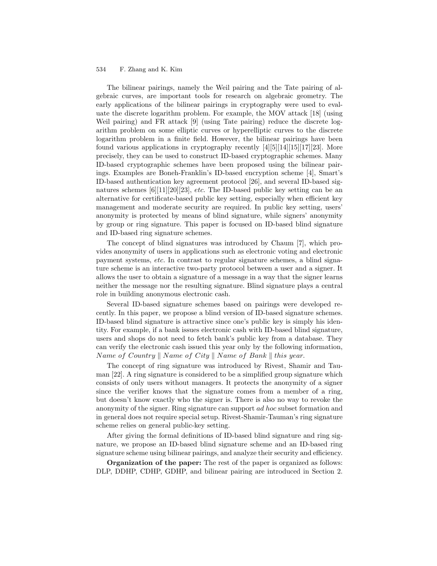The bilinear pairings, namely the Weil pairing and the Tate pairing of algebraic curves, are important tools for research on algebraic geometry. The early applications of the bilinear pairings in cryptography were used to evaluate the discrete logarithm problem. For example, the MOV attack [18] (using Weil pairing) and FR attack [9] (using Tate pairing) reduce the discrete logarithm problem on some elliptic curves or hyperelliptic curves to the discrete logarithm problem in a finite field. However, the bilinear pairings have been found various applications in cryptography recently  $[4][5][14][15][17][23]$ . More precisely, they can be used to construct ID-based cryptographic schemes. Many ID-based cryptographic schemes have been proposed using the bilinear pairings. Examples are Boneh-Franklin's ID-based encryption scheme [4], Smart's ID-based authentication key agreement protocol [26], and several ID-based signatures schemes  $[6][11][20][23]$ , *etc.* The ID-based public key setting can be an alternative for certificate-based public key setting, especially when efficient key management and moderate security are required. In public key setting, users' anonymity is protected by means of blind signature, while signers' anonymity by group or ring signature. This paper is focused on ID-based blind signature and ID-based ring signature schemes.

The concept of blind signatures was introduced by Chaum [7], which provides anonymity of users in applications such as electronic voting and electronic payment systems, etc. In contrast to regular signature schemes, a blind signature scheme is an interactive two-party protocol between a user and a signer. It allows the user to obtain a signature of a message in a way that the signer learns neither the message nor the resulting signature. Blind signature plays a central role in building anonymous electronic cash.

Several ID-based signature schemes based on pairings were developed recently. In this paper, we propose a blind version of ID-based signature schemes. ID-based blind signature is attractive since one's public key is simply his identity. For example, if a bank issues electronic cash with ID-based blind signature, users and shops do not need to fetch bank's public key from a database. They can verify the electronic cash issued this year only by the following information, Name of Country || Name of City || Name of Bank || this year.

The concept of ring signature was introduced by Rivest, Shamir and Tauman [22]. A ring signature is considered to be a simplified group signature which consists of only users without managers. It protects the anonymity of a signer since the verifier knows that the signature comes from a member of a ring, but doesn't know exactly who the signer is. There is also no way to revoke the anonymity of the signer. Ring signature can support ad hoc subset formation and in general does not require special setup. Rivest-Shamir-Tauman's ring signature scheme relies on general public-key setting.

After giving the formal definitions of ID-based blind signature and ring signature, we propose an ID-based blind signature scheme and an ID-based ring signature scheme using bilinear pairings, and analyze their security and efficiency.

Organization of the paper: The rest of the paper is organized as follows: DLP, DDHP, CDHP, GDHP, and bilinear pairing are introduced in Section 2.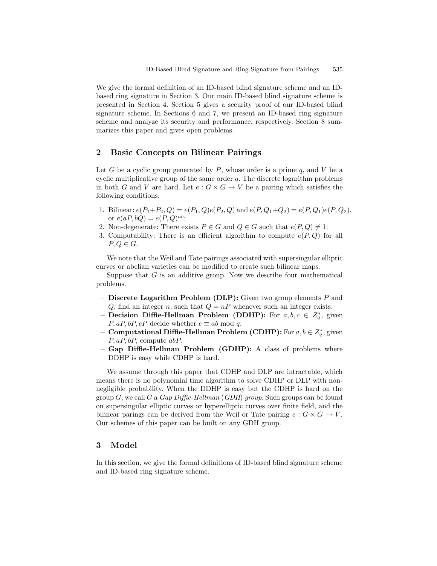We give the formal definition of an ID-based blind signature scheme and an IDbased ring signature in Section 3. Our main ID-based blind signature scheme is presented in Section 4. Section 5 gives a security proof of our ID-based blind signature scheme. In Sections 6 and 7, we present an ID-based ring signature scheme and analyze its security and performance, respectively. Section 8 summarizes this paper and gives open problems.

# 2 Basic Concepts on Bilinear Pairings

Let G be a cyclic group generated by  $P$ , whose order is a prime  $q$ , and  $V$  be a cyclic multiplicative group of the same order  $q$ . The discrete logarithm problems in both G and V are hard. Let  $e: G \times G \to V$  be a pairing which satisfies the following conditions:

- 1. Bilinear:  $e(P_1+P_2, Q) = e(P_1, Q)e(P_2, Q)$  and  $e(P, Q_1+Q_2) = e(P, Q_1)e(P, Q_2)$ , or  $e(aP, bQ) = e(P, Q)^{ab};$
- 2. Non-degenerate: There exists  $P \in G$  and  $Q \in G$  such that  $e(P,Q) \neq 1$ ;
- 3. Computability: There is an efficient algorithm to compute  $e(P,Q)$  for all  $P, Q \in G$ .

We note that the Weil and Tate pairings associated with supersingular elliptic curves or abelian varieties can be modified to create such bilinear maps.

Suppose that  $G$  is an additive group. Now we describe four mathematical problems.

- Discrete Logarithm Problem (DLP): Given two group elements  $P$  and Q, find an integer n, such that  $Q = nP$  whenever such an integer exists.
- Decision Diffie-Hellman Problem (DDHP): For  $a, b, c \in \mathbb{Z}_q^*$ , given  $P, aP, bP, cP$  decide whether  $c \equiv ab \mod q$ .
- Computational Diffie-Hellman Problem (CDHP): For  $a, b \in Z_q^*$ , given P, aP, bP, compute abP.
- Gap Diffie-Hellman Problem (GDHP): A class of problems where DDHP is easy while CDHP is hard.

We assume through this paper that CDHP and DLP are intractable, which means there is no polynomial time algorithm to solve CDHP or DLP with nonnegligible probability. When the DDHP is easy but the CDHP is hard on the group  $G$ , we call  $G$  a  $Gap$  Diffie-Hellman  $(GDH)$  group. Such groups can be found on supersingular elliptic curves or hyperelliptic curves over finite field, and the bilinear parings can be derived from the Weil or Tate pairing  $e : G \times G \to V$ . Our schemes of this paper can be built on any GDH group.

# 3 Model

In this section, we give the formal definitions of ID-based blind signature scheme and ID-based ring signature scheme.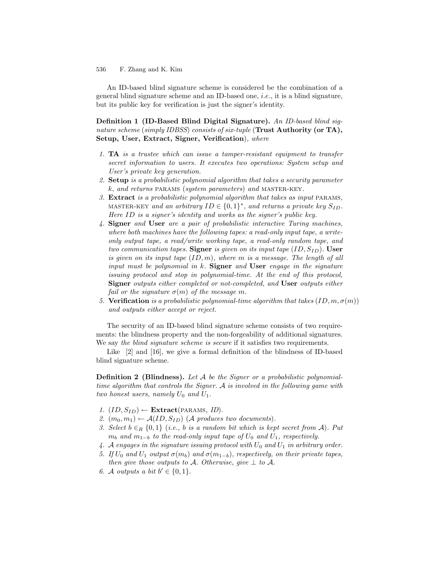An ID-based blind signature scheme is considered be the combination of a general blind signature scheme and an ID-based one, i.e., it is a blind signature, but its public key for verification is just the signer's identity.

Definition 1 (ID-Based Blind Digital Signature). An ID-based blind signature scheme (simply IDBSS) consists of six-tuple (Trust Authority (or TA), Setup, User, Extract, Signer, Verification), where

- 1. TA is a trustee which can issue a tamper-resistant equipment to transfer secret information to users. It executes two operations: System setup and User's private key generation.
- 2. Setup is a probabilistic polynomial algorithm that takes a security parameter  $k$ , and returns PARAMS (system parameters) and MASTER-KEY.
- 3. Extract is a probabilistic polynomial algorithm that takes as input  $PARAMS$ , MASTER-KEY and an arbitrary  $ID \in \{0,1\}^*$ , and returns a private key  $S_{ID}$ . Here ID is a signer's identity and works as the signer's public key.
- 4. Signer and User are a pair of probabilistic interactive Turing machines, where both machines have the following tapes: a read-only input tape, a writeonly output tape, a read/write working tape, a read-only random tape, and two communication tapes. Signer is given on its input tape  $(ID, S_{ID})$ . User is given on its input tape  $(ID, m)$ , where m is a message. The length of all input must be polynomial in  $k$ . Signer and User engage in the signature issuing protocol and stop in polynomial-time. At the end of this protocol, Signer outputs either completed or not-completed, and User outputs either fail or the signature  $\sigma(m)$  of the message m.
- 5. Verification is a probabilistic polynomial-time algorithm that takes  $(ID, m, \sigma(m))$ and outputs either accept or reject.

The security of an ID-based blind signature scheme consists of two requirements: the blindness property and the non-forgeability of additional signatures. We say the blind signature scheme is secure if it satisfies two requirements.

Like [2] and [16], we give a formal definition of the blindness of ID-based blind signature scheme.

**Definition 2 (Blindness).** Let  $A$  be the Signer or a probabilistic polynomialtime algorithm that controls the Signer. A is involved in the following game with two honest users, namely  $U_0$  and  $U_1$ .

- 1.  $(ID, S_{ID}) \leftarrow$  Extract(PARAMS, *ID*).
- 2.  $(m_0, m_1) \leftarrow \mathcal{A}(ID, S_{ID})$  (A produces two documents).
- 3. Select  $b \in_R \{0,1\}$  (i.e., b is a random bit which is kept secret from A). Put  $m_b$  and  $m_{1-b}$  to the read-only input tape of  $U_0$  and  $U_1$ , respectively.
- 4. A engages in the signature issuing protocol with  $U_0$  and  $U_1$  in arbitrary order.
- 5. If  $U_0$  and  $U_1$  output  $\sigma(m_b)$  and  $\sigma(m_{1-b})$ , respectively, on their private tapes, then give those outputs to A. Otherwise, give  $\perp$  to A.
- 6. A outputs a bit  $b' \in \{0, 1\}.$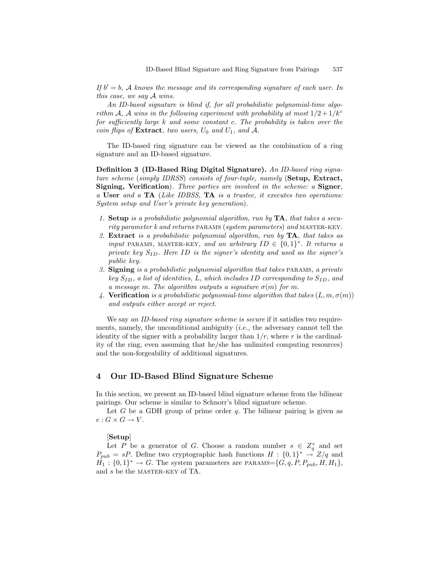If  $b' = b$ , A knows the message and its corresponding signature of each user. In this case, we say A wins.

An ID-based signature is blind if, for all probabilistic polynomial-time algorithm A, A wins in the following experiment with probability at most  $1/2+1/k<sup>c</sup>$ for sufficiently large k and some constant c. The probability is taken over the coin flips of Extract, two users,  $U_0$  and  $U_1$ , and  $A$ .

The ID-based ring signature can be viewed as the combination of a ring signature and an ID-based signature.

Definition 3 (ID-Based Ring Digital Signature). An ID-based ring signature scheme (simply IDRSS) consists of four-tuple, namely (Setup, Extract, Signing, Verification). Three parties are involved in the scheme: a Signer, a User and a TA (Like IDBSS, TA is a trustee, it executes two operations: System setup and User's private key generation).

- 1. Setup is a probabilistic polynomial algorithm, run by TA, that takes a security parameter k and returns PARAMS (system parameters) and MASTER-KEY.
- 2. Extract is a probabilistic polynomial algorithm, run by  $TA$ , that takes as input PARAMS, MASTER-KEY, and an arbitrary  $ID \in \{0,1\}^*$ . It returns a private key  $S_{ID}$ . Here ID is the signer's identity and used as the signer's public key.
- 3. Signing is a probabilistic polynomial algorithm that takes PARAMS, a private key  $S_{ID}$ , a list of identities, L, which includes ID corresponding to  $S_{ID}$ , and a message m. The algorithm outputs a signature  $\sigma(m)$  for m.
- 4. Verification is a probabilistic polynomial-time algorithm that takes  $(L, m, \sigma(m))$ and outputs either accept or reject.

We say an ID-based ring signature scheme is secure if it satisfies two requirements, namely, the unconditional ambiguity  $(i.e.,$  the adversary cannot tell the identity of the signer with a probability larger than  $1/r$ , where r is the cardinality of the ring, even assuming that he/she has unlimited computing resources) and the non-forgeability of additional signatures.

# 4 Our ID-Based Blind Signature Scheme

In this section, we present an ID-based blind signature scheme from the bilinear pairings. Our scheme is similar to Schnorr's blind signature scheme.

Let G be a GDH group of prime order q. The bilinear pairing is given as  $e: G \times G \rightarrow V$ .

### [Setup]

Let P be a generator of G. Choose a random number  $s \in Z_q^*$  and set  $P_{pub} = sP$ . Define two cryptographic hash functions  $H: \{0,1\}^* \to Z/q$  and  $H_1: \{0,1\}^* \to G$ . The system parameters are PARAMS= $\{G, q, P, P_{pub}, H, H_1\},$ and s be the MASTER-KEY of TA.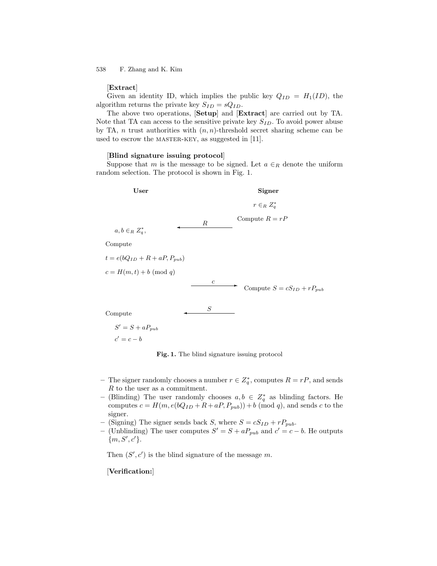#### $\vert$ Extract $\vert$

Given an identity ID, which implies the public key  $Q_{ID} = H_1(ID)$ , the algorithm returns the private key  $S_{ID} = sQ_{ID}$ .

The above two operations, [Setup] and [Extract] are carried out by TA. Note that TA can access to the sensitive private key  $S_{ID}$ . To avoid power abuse by TA, *n* trust authorities with  $(n, n)$ -threshold secret sharing scheme can be used to escrow the master-key, as suggested in [11].

### [Blind signature issuing protocol]

Suppose that m is the message to be signed. Let  $a \in_R$  denote the uniform random selection. The protocol is shown in Fig. 1.



Compute

 $S' = S + aP_{pub}$  $c' = c - b$ 

Fig. 1. The blind signature issuing protocol

- The signer randomly chooses a number  $r \in Z_q^*$ , computes  $R = rP$ , and sends  ${\cal R}$  to the user as a commitment.
- (Blinding) The user randomly chooses  $a, b \in Z_q^*$  as blinding factors. He computes  $c = H(m, e(bQ_{ID} + R + aP, P_{pub})) + b \pmod{q}$ , and sends c to the signer.
- (Signing) The signer sends back S, where  $S = cS_{ID} + rP_{pub}$ .
- (Unblinding) The user computes  $S' = S + aP_{pub}$  and  $c' = c b$ . He outputs  ${m, S', c'}$ .

Then  $(S', c')$  is the blind signature of the message m.

# [Verification:]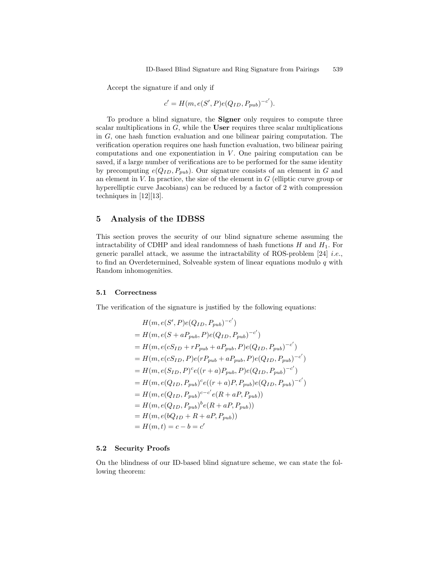Accept the signature if and only if

$$
c' = H(m, e(S', P)e(Q_{ID}, P_{pub})^{-c'}).
$$

To produce a blind signature, the Signer only requires to compute three scalar multiplications in  $G$ , while the User requires three scalar multiplications in G, one hash function evaluation and one bilinear pairing computation. The verification operation requires one hash function evaluation, two bilinear pairing computations and one exponentiation in  $V$ . One pairing computation can be saved, if a large number of verifications are to be performed for the same identity by precomputing  $e(Q_{ID}, P_{pub})$ . Our signature consists of an element in G and an element in  $V$ . In practice, the size of the element in  $G$  (elliptic curve group or hyperelliptic curve Jacobians) can be reduced by a factor of 2 with compression techniques in [12][13].

# 5 Analysis of the IDBSS

This section proves the security of our blind signature scheme assuming the intractability of CDHP and ideal randomness of hash functions  $H$  and  $H_1$ . For generic parallel attack, we assume the intractability of ROS-problem [24] *i.e.*, to find an Overdetermined, Solveable system of linear equations modulo  $q$  with Random inhomogenities.

### 5.1 Correctness

The verification of the signature is justified by the following equations:

$$
H(m, e(S', P)e(Q_{ID}, P_{pub})^{-c'})
$$
  
=  $H(m, e(S + aP_{pub}, P)e(Q_{ID}, P_{pub})^{-c'})$   
=  $H(m, e(cS_{ID} + rP_{pub} + aP_{pub}, P)e(Q_{ID}, P_{pub})^{-c'})$   
=  $H(m, e(cS_{ID}, P)e(rP_{pub} + aP_{pub}, P)e(Q_{ID}, P_{pub})^{-c'})$   
=  $H(m, e(S_{ID}, P)^{c}e((r + a)P_{pub}, P)e(Q_{ID}, P_{pub})^{-c'})$   
=  $H(m, e(Q_{ID}, P_{pub})^{c}e((r + a)P, P_{pub})e(Q_{ID}, P_{pub})^{-c'})$   
=  $H(m, e(Q_{ID}, P_{pub})^{c-c'}e(R + aP, P_{pub}))$   
=  $H(m, e(Q_{ID}, P_{pub})^{b}e(R + aP, P_{pub}))$   
=  $H(m, e(bQ_{ID} + R + aP, P_{pub}))$   
=  $H(m, t) = c - b = c'$ 

### 5.2 Security Proofs

On the blindness of our ID-based blind signature scheme, we can state the following theorem: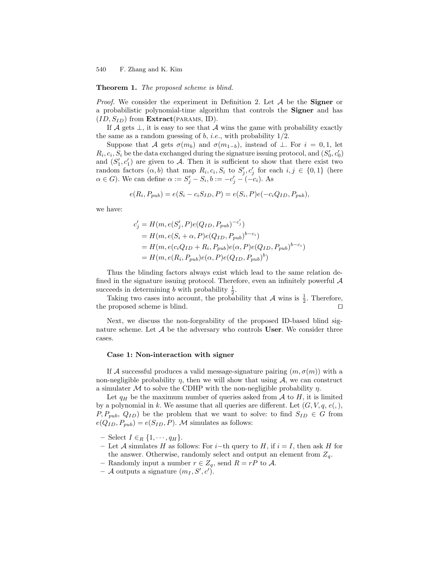#### Theorem 1. The proposed scheme is blind.

*Proof.* We consider the experiment in Definition 2. Let  $A$  be the **Signer** or a probabilistic polynomial-time algorithm that controls the Signer and has  $(ID, S_{ID})$  from **Extract**(params, ID).

If A gets  $\perp$ , it is easy to see that A wins the game with probability exactly the same as a random guessing of  $b$ , *i.e.*, with probability  $1/2$ .

Suppose that A gets  $\sigma(m_b)$  and  $\sigma(m_{1-b})$ , instead of  $\perp$ . For  $i = 0, 1$ , let  $R_i, c_i, S_i$  be the data exchanged during the signature issuing protocol, and  $(S'_0, c'_0)$ and  $(S'_1, c'_1)$  are given to A. Then it is sufficient to show that there exist two random factors  $(\alpha, b)$  that map  $R_i, c_i, S_i$  to  $S'_j, c'_j$  for each  $i, j \in \{0, 1\}$  (here  $\alpha \in G$ ). We can define  $\alpha := S'_j - S_i$ ,  $b := -c'_j - (-c_i)$ . As

$$
e(R_i, P_{pub}) = e(S_i - c_i S_{ID}, P) = e(S_i, P)e(-c_i Q_{ID}, P_{pub}),
$$

we have:

$$
c'_{j} = H(m, e(S'_{j}, P)e(Q_{ID}, P_{pub})^{-c'_{j}})
$$
  
=  $H(m, e(S_{i} + \alpha, P)e(Q_{ID}, P_{pub})^{b-c_{i}})$   
=  $H(m, e(c_{i}Q_{ID} + R_{i}, P_{pub})e(\alpha, P)e(Q_{ID}, P_{pub})^{b-c_{i}})$   
=  $H(m, e(R_{i}, P_{pub})e(\alpha, P)e(Q_{ID}, P_{pub})^{b})$ 

Thus the blinding factors always exist which lead to the same relation defined in the signature issuing protocol. Therefore, even an infinitely powerful  $\mathcal A$ succeeds in determining *b* with probability  $\frac{1}{2}$ .

Taking two cases into account, the probability that  $\mathcal A$  wins is  $\frac{1}{2}$ . Therefore, the proposed scheme is blind.  $\square$ 

Next, we discuss the non-forgeability of the proposed ID-based blind signature scheme. Let  $A$  be the adversary who controls User. We consider three cases.

### Case 1: Non-interaction with signer

If A successful produces a valid message-signature pairing  $(m, \sigma(m))$  with a non-negligible probability  $\eta$ , then we will show that using  $\mathcal{A}$ , we can construct a simulater  $M$  to solve the CDHP with the non-negligible probability  $\eta$ .

Let  $q_H$  be the maximum number of queries asked from A to H, it is limited by a polynomial in k. We assume that all queries are different. Let  $(G, V, q, e(,))$ ,  $P, P_{pub}, Q_{ID}$  be the problem that we want to solve: to find  $S_{ID} \in G$  from  $e(Q_{ID}, P_{pub}) = e(S_{ID}, P)$ . M simulates as follows:

- Select  $I \in_R \{1, \cdots, q_H\}.$
- Let A simulates H as follows: For i–th query to H, if  $i = I$ , then ask H for the answer. Otherwise, randomly select and output an element from  $Z_q$ .
- Randomly input a number  $r \in Z_q$ , send  $R = rP$  to A.
- $-$  A outputs a signature  $(m_I, S', c')$ .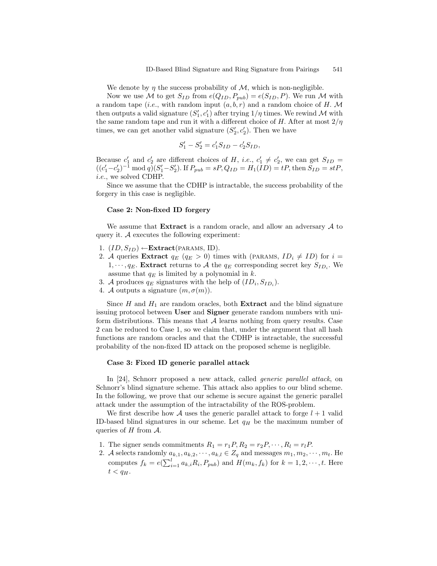We denote by  $\eta$  the success probability of  $\mathcal{M}$ , which is non-negligible.

Now we use M to get  $S_{ID}$  from  $e(Q_{ID}, P_{pub}) = e(S_{ID}, P)$ . We run M with a random tape (*i.e.*, with random input  $(a, b, r)$  and a random choice of H. M then outputs a valid signature  $(S'_1, c'_1)$  after trying  $1/\eta$  times. We rewind M with the same random tape and run it with a different choice of H. After at most  $2/\eta$ times, we can get another valid signature  $(S_2', c_2')$ . Then we have

$$
S_1' - S_2' = c_1'S_{ID} - c_2'S_{ID},
$$

Because  $c'_1$  and  $c'_2$  are different choices of H, *i.e.*,  $c'_1 \neq c'_2$ , we can get  $S_{ID}$  =  $((c'_1-c'_2)^{-1} \mod q) (S'_1-S'_2)$ . If  $P_{pub} = sP, Q_{ID} = H_1(ID) = tP$ , then  $S_{ID} = stP$ , i.e., we solved CDHP.

Since we assume that the CDHP is intractable, the success probability of the forgery in this case is negligible.

#### Case 2: Non-fixed ID forgery

We assume that **Extract** is a random oracle, and allow an adversary  $\mathcal A$  to query it.  $A$  executes the following experiment:

- 1.  $(ID, S_{ID}) \leftarrow \textbf{Extract}(\text{PARAMS}, \text{ID}).$
- 2. A queries Extract  $q_E$  ( $q_E > 0$ ) times with (PARAMS,  $ID_i \neq ID$ ) for  $i =$  $1, \dots, q_E$ . Extract returns to A the  $q_E$  corresponding secret key  $S_{ID_i}$ . We assume that  $q_E$  is limited by a polynomial in k.
- 3. A produces  $q_E$  signatures with the help of  $(ID_i, S_{ID_i}).$
- 4. A outputs a signature  $(m, \sigma(m))$ .

Since  $H$  and  $H_1$  are random oracles, both **Extract** and the blind signature issuing protocol between User and Signer generate random numbers with uniform distributions. This means that  $A$  learns nothing from query results. Case 2 can be reduced to Case 1, so we claim that, under the argument that all hash functions are random oracles and that the CDHP is intractable, the successful probability of the non-fixed ID attack on the proposed scheme is negligible.

# Case 3: Fixed ID generic parallel attack

In [24], Schnorr proposed a new attack, called *generic parallel attack*, on Schnorr's blind signature scheme. This attack also applies to our blind scheme. In the following, we prove that our scheme is secure against the generic parallel attack under the assumption of the intractability of the ROS-problem.

We first describe how A uses the generic parallel attack to forge  $l + 1$  valid ID-based blind signatures in our scheme. Let  $q_H$  be the maximum number of queries of  $H$  from  $A$ .

- 1. The signer sends commitments  $R_1 = r_1 P$ ,  $R_2 = r_2 P$ ,  $\cdots$ ,  $R_l = r_l P$ .
- 2. A selects randomly  $a_{k,1}, a_{k,2}, \dots, a_{k,l} \in Z_q$  and messages  $m_1, m_2, \dots, m_t$ . He computes  $f_k = e(\sum_{i=1}^l a_{k,i} R_i, P_{pub})$  and  $H(m_k, f_k)$  for  $k = 1, 2, \dots, t$ . Here  $t < q_H$ .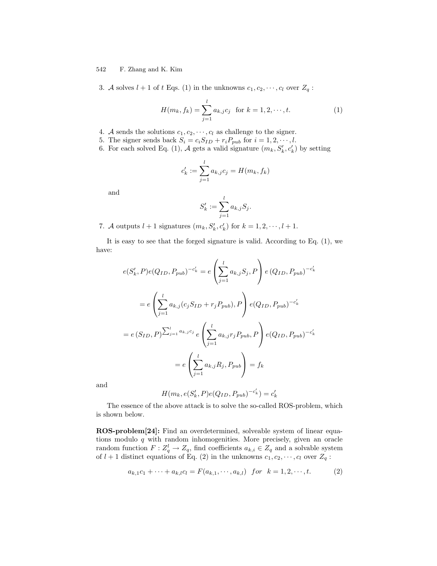3. A solves  $l + 1$  of t Eqs. (1) in the unknowns  $c_1, c_2, \dots, c_l$  over  $Z_q$ :

$$
H(m_k, f_k) = \sum_{j=1}^{l} a_{k,j} c_j \text{ for } k = 1, 2, \dots, t.
$$
 (1)

- 4. A sends the solutions  $c_1, c_2, \dots, c_l$  as challenge to the signer.
- 5. The signer sends back  $S_i = c_i S_{ID} + r_i P_{pub}$  for  $i = 1, 2, \dots, l$ .
- 6. For each solved Eq. (1),  $A$  gets a valid signature  $(m_k, S'_k, c'_k)$  by setting

$$
c'_{k} := \sum_{j=1}^{l} a_{k,j} c_j = H(m_k, f_k)
$$

and

$$
S'_k := \sum_{j=1}^l a_{k,j} S_j.
$$

7. A outputs  $l+1$  signatures  $(m_k, S'_k, c'_k)$  for  $k = 1, 2, \dots, l+1$ .

It is easy to see that the forged signature is valid. According to Eq. (1), we have:

$$
e(S'_k, P) e(Q_{ID}, P_{pub})^{-c'_k} = e\left(\sum_{j=1}^l a_{k,j} S_j, P\right) e(Q_{ID}, P_{pub})^{-c'_k}
$$
  
=  $e\left(\sum_{j=1}^l a_{k,j} (c_j S_{ID} + r_j P_{pub}), P\right) e(Q_{ID}, P_{pub})^{-c'_k}$   
=  $e(S_{ID}, P) \sum_{j=1}^l a_{k,j} c_j e\left(\sum_{j=1}^l a_{k,j} r_j P_{pub}, P\right) e(Q_{ID}, P_{pub})^{-c'_k}$   
=  $e\left(\sum_{j=1}^l a_{k,j} R_j, P_{pub}\right) = f_k$ 

and

$$
H(m_k, e(S'_k, P) e(Q_{ID}, P_{pub})^{-c'_k}) = c'_k
$$

The essence of the above attack is to solve the so-called ROS-problem, which is shown below.

ROS-problem[24]: Find an overdetermined, solveable system of linear equations modulo  $q$  with random inhomogenities. More precisely, given an oracle random function  $F: Z_q^l \to Z_q$ , find coefficients  $a_{k,i} \in Z_q$  and a solvable system of  $l + 1$  distinct equations of Eq. (2) in the unknowns  $c_1, c_2, \dots, c_l$  over  $Z_q$ :

$$
a_{k,1}c_1 + \dots + a_{k,l}c_l = F(a_{k,1}, \dots, a_{k,l}) \quad \text{for} \quad k = 1, 2, \dots, t. \tag{2}
$$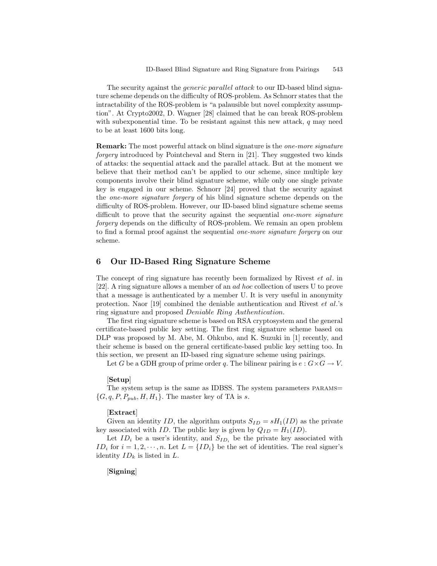The security against the *generic parallel attack* to our ID-based blind signature scheme depends on the difficulty of ROS-problem. As Schnorr states that the intractability of the ROS-problem is "a palausible but novel complexity assumption". At Crypto2002, D. Wagner [28] claimed that he can break ROS-problem with subexponential time. To be resistant against this new attack,  $q$  may need to be at least 1600 bits long.

Remark: The most powerful attack on blind signature is the one-more signature forgery introduced by Pointcheval and Stern in [21]. They suggested two kinds of attacks: the sequential attack and the parallel attack. But at the moment we believe that their method can't be applied to our scheme, since multiple key components involve their blind signature scheme, while only one single private key is engaged in our scheme. Schnorr [24] proved that the security against the one-more signature forgery of his blind signature scheme depends on the difficulty of ROS-problem. However, our ID-based blind signature scheme seems difficult to prove that the security against the sequential one-more signature forgery depends on the difficulty of ROS-problem. We remain an open problem to find a formal proof against the sequential one-more signature forgery on our scheme.

# 6 Our ID-Based Ring Signature Scheme

The concept of ring signature has recently been formalized by Rivest et al. in [22]. A ring signature allows a member of an ad hoc collection of users U to prove that a message is authenticated by a member U. It is very useful in anonymity protection. Naor [19] combined the deniable authentication and Rivest et al.'s ring signature and proposed Deniable Ring Authentication.

The first ring signature scheme is based on RSA cryptosystem and the general certificate-based public key setting. The first ring signature scheme based on DLP was proposed by M. Abe, M. Ohkubo, and K. Suzuki in [1] recently, and their scheme is based on the general certificate-based public key setting too. In this section, we present an ID-based ring signature scheme using pairings.

Let G be a GDH group of prime order q. The bilinear pairing is  $e: G \times G \to V$ .

### [Setup]

The system setup is the same as IDBSS. The system parameters PARAMS=  $\{G, q, P, P_{pub}, H, H_1\}$ . The master key of TA is s.

### [Extract]

Given an identity ID, the algorithm outputs  $S_{ID} = sH_1(ID)$  as the private key associated with ID. The public key is given by  $Q_{ID} = H_1(ID)$ .

Let  $ID_i$  be a user's identity, and  $S_{ID_i}$  be the private key associated with ID<sub>i</sub> for  $i = 1, 2, \dots, n$ . Let  $L = \{ID_i\}$  be the set of identities. The real signer's identity  $ID_k$  is listed in  $L$ .

[Signing]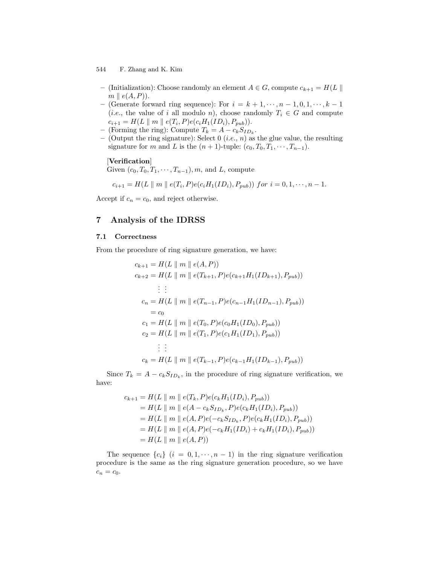- 544 F. Zhang and K. Kim
- (Initialization): Choose randomly an element  $A \in G$ , compute  $c_{k+1} = H(L \parallel$  $m \parallel e(A, P)$ ).
- (Generate forward ring sequence): For  $i = k + 1, \dots, n 1, 0, 1, \dots, k 1$ (*i.e.*, the value of i all modulo n), choose randomly  $T_i \in G$  and compute  $c_{i+1} = H(L \parallel m \parallel e(T_i, P)e(c_iH_1(ID_i), P_{pub})).$
- (Forming the ring): Compute  $T_k = A c_k S_{ID_k}$ .
- (Output the ring signature): Select 0 (*i.e.*, *n*) as the glue value, the resulting signature for m and L is the  $(n + 1)$ -tuple:  $(c_0, T_0, T_1, \dots, T_{n-1})$ .

### [Verification]

Given  $(c_0, T_0, T_1, \dots, T_{n-1}), m$ , and L, compute

$$
c_{i+1} = H(L \parallel m \parallel e(T_i, P)e(c_i H_1(ID_i), P_{pub})) \text{ for } i = 0, 1, \cdots, n-1.
$$

Accept if  $c_n = c_0$ , and reject otherwise.

# 7 Analysis of the IDRSS

# 7.1 Correctness

From the procedure of ring signature generation, we have:

$$
c_{k+1} = H(L \parallel m \parallel e(A, P))
$$
  
\n
$$
c_{k+2} = H(L \parallel m \parallel e(T_{k+1}, P)e(c_{k+1}H_1(ID_{k+1}), P_{pub}))
$$
  
\n
$$
\vdots
$$
  
\n
$$
c_n = H(L \parallel m \parallel e(T_{n-1}, P)e(c_{n-1}H_1(ID_{n-1}), P_{pub}))
$$
  
\n
$$
= c_0
$$
  
\n
$$
c_1 = H(L \parallel m \parallel e(T_0, P)e(c_0H_1(ID_0), P_{pub}))
$$
  
\n
$$
c_2 = H(L \parallel m \parallel e(T_1, P)e(c_1H_1(ID_1), P_{pub}))
$$
  
\n
$$
\vdots
$$
  
\n
$$
c_k = H(L \parallel m \parallel e(T_{k-1}, P)e(c_{k-1}H_1(ID_{k-1}), P_{pub}))
$$

Since  $T_k = A - c_k S_{ID_k}$ , in the procedure of ring signature verification, we have:

$$
c_{k+1} = H(L \parallel m \parallel e(T_k, P)e(c_k H_1(ID_i), P_{pub}))
$$
  
=  $H(L \parallel m \parallel e(A - c_k S_{ID_k}, P)e(c_k H_1(ID_i), P_{pub}))$   
=  $H(L \parallel m \parallel e(A, P)e(-c_k S_{ID_k}, P)e(c_k H_1(ID_i), P_{pub}))$   
=  $H(L \parallel m \parallel e(A, P)e(-c_k H_1(ID_i) + c_k H_1(ID_i), P_{pub}))$   
=  $H(L \parallel m \parallel e(A, P))$ 

The sequence  $\{c_i\}$   $(i = 0, 1, \dots, n-1)$  in the ring signature verification procedure is the same as the ring signature generation procedure, so we have  $c_n = c_0$ .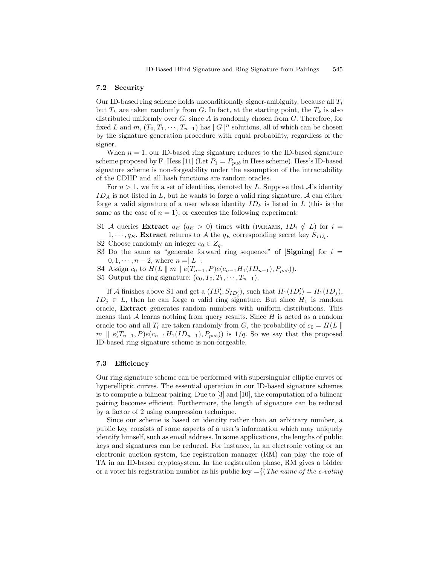#### 7.2 Security

Our ID-based ring scheme holds unconditionally signer-ambiguity, because all  $T_i$ but  $T_k$  are taken randomly from G. In fact, at the starting point, the  $T_k$  is also distributed uniformly over  $G$ , since  $A$  is randomly chosen from  $G$ . Therefore, for fixed L and  $m, (T_0, T_1, \dots, T_{n-1})$  has  $|G|^n$  solutions, all of which can be chosen by the signature generation procedure with equal probability, regardless of the signer.

When  $n = 1$ , our ID-based ring signature reduces to the ID-based signature scheme proposed by F. Hess [11] (Let  $P_1 = P_{pub}$  in Hess scheme). Hess's ID-based signature scheme is non-forgeability under the assumption of the intractability of the CDHP and all hash functions are random oracles.

For  $n > 1$ , we fix a set of identities, denoted by L. Suppose that A's identity  $ID_A$  is not listed in L, but he wants to forge a valid ring signature. A can either forge a valid signature of a user whose identity  $ID_k$  is listed in  $L$  (this is the same as the case of  $n = 1$ , or executes the following experiment:

- S1 A queries Extract  $q_E$  ( $q_E > 0$ ) times with (PARAMS,  $ID_i \notin L$ ) for  $i =$  $1, \dots, q_E$ . Extract returns to A the  $q_E$  corresponding secret key  $S_{ID_i}$ .
- S2 Choose randomly an integer  $c_0 \in Z_q$ .
- S3 Do the same as "generate forward ring sequence" of  $\lceil$ Signing  $\lceil$  for  $i =$  $0, 1, \dots, n-2$ , where  $n = |L|$ .
- S4 Assign  $c_0$  to  $H(L \parallel m \parallel e(T_{n-1}, P)e(c_{n-1}H_1(ID_{n-1}), P_{pub})).$
- S5 Output the ring signature:  $(c_0, T_0, T_1, \dots, T_{n-1})$ .

If A finishes above S1 and get a  $(ID'_i, S_{ID'_i})$ , such that  $H_1(ID'_i) = H_1(ID_j)$ ,  $ID_j \in L$ , then he can forge a valid ring signature. But since  $H_1$  is random oracle, Extract generates random numbers with uniform distributions. This means that  $A$  learns nothing from query results. Since  $H$  is acted as a random oracle too and all  $T_i$  are taken randomly from G, the probability of  $c_0 = H(L \parallel$ m  $\parallel e(T_{n-1}, P)e(c_{n-1}H_1(ID_{n-1}), P_{pub}))$  is 1/q. So we say that the proposed ID-based ring signature scheme is non-forgeable.

#### 7.3 Efficiency

Our ring signature scheme can be performed with supersingular elliptic curves or hyperelliptic curves. The essential operation in our ID-based signature schemes is to compute a bilinear pairing. Due to [3] and [10], the computation of a bilinear pairing becomes efficient. Furthermore, the length of signature can be reduced by a factor of 2 using compression technique.

Since our scheme is based on identity rather than an arbitrary number, a public key consists of some aspects of a user's information which may uniquely identify himself, such as email address. In some applications, the lengths of public keys and signatures can be reduced. For instance, in an electronic voting or an electronic auction system, the registration manager (RM) can play the role of TA in an ID-based cryptosystem. In the registration phase, RM gives a bidder or a voter his registration number as his public key  $=\{$  (The name of the e-voting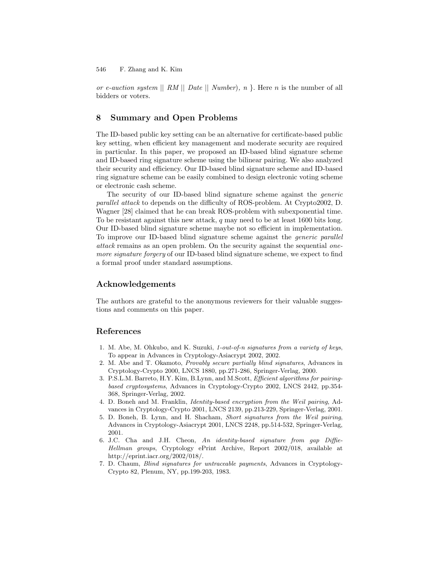or e-auction system  $||RM||Data||Number), n$ . Here n is the number of all bidders or voters.

# 8 Summary and Open Problems

The ID-based public key setting can be an alternative for certificate-based public key setting, when efficient key management and moderate security are required in particular. In this paper, we proposed an ID-based blind signature scheme and ID-based ring signature scheme using the bilinear pairing. We also analyzed their security and efficiency. Our ID-based blind signature scheme and ID-based ring signature scheme can be easily combined to design electronic voting scheme or electronic cash scheme.

The security of our ID-based blind signature scheme against the generic parallel attack to depends on the difficulty of ROS-problem. At Crypto2002, D. Wagner [28] claimed that he can break ROS-problem with subexponential time. To be resistant against this new attack,  $q$  may need to be at least 1600 bits long. Our ID-based blind signature scheme maybe not so efficient in implementation. To improve our ID-based blind signature scheme against the generic parallel attack remains as an open problem. On the security against the sequential onemore signature forgery of our ID-based blind signature scheme, we expect to find a formal proof under standard assumptions.

# Acknowledgements

The authors are grateful to the anonymous reviewers for their valuable suggestions and comments on this paper.

# References

- 1. M. Abe, M. Ohkubo, and K. Suzuki, 1-out-of-n signatures from a variety of keys, To appear in Advances in Cryptology-Asiacrypt 2002, 2002.
- 2. M. Abe and T. Okamoto, Provably secure partially blind signatures, Advances in Cryptology-Crypto 2000, LNCS 1880, pp.271-286, Springer-Verlag, 2000.
- 3. P.S.L.M. Barreto, H.Y. Kim, B.Lynn, and M.Scott, Efficient algorithms for pairingbased cryptosystems, Advances in Cryptology-Crypto 2002, LNCS 2442, pp.354- 368, Springer-Verlag, 2002.
- 4. D. Boneh and M. Franklin, Identity-based encryption from the Weil pairing, Advances in Cryptology-Crypto 2001, LNCS 2139, pp.213-229, Springer-Verlag, 2001.
- 5. D. Boneh, B. Lynn, and H. Shacham, Short signatures from the Weil pairing, Advances in Cryptology-Asiacrypt 2001, LNCS 2248, pp.514-532, Springer-Verlag, 2001.
- 6. J.C. Cha and J.H. Cheon, An identity-based signature from gap Diffie-Hellman groups, Cryptology ePrint Archive, Report 2002/018, available at http://eprint.iacr.org/2002/018/.
- 7. D. Chaum, Blind signatures for untraceable payments, Advances in Cryptology-Crypto 82, Plenum, NY, pp.199-203, 1983.